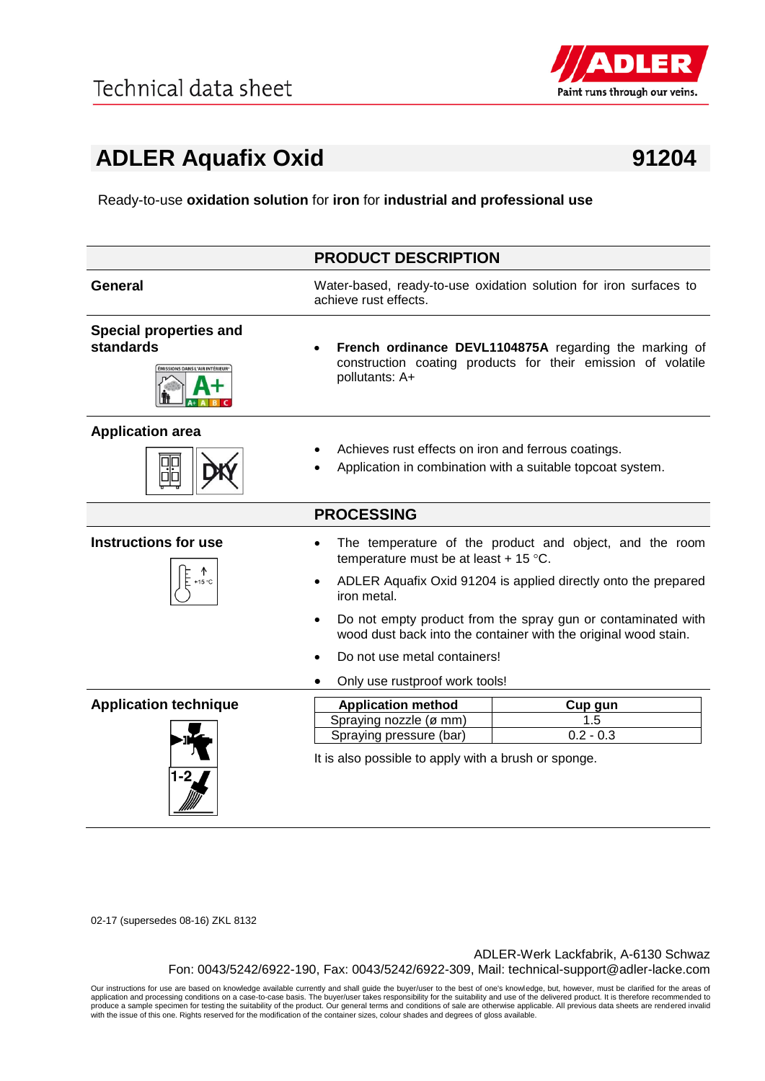

## **ADLER Aquafix Oxid 91204**

Ready-to-use **oxidation solution** for **iron** for **industrial and professional use**

|                                                                             | <b>PRODUCT DESCRIPTION</b>                                                                                                                   |  |
|-----------------------------------------------------------------------------|----------------------------------------------------------------------------------------------------------------------------------------------|--|
| <b>General</b>                                                              | Water-based, ready-to-use oxidation solution for iron surfaces to<br>achieve rust effects.                                                   |  |
| <b>Special properties and</b><br>standards<br>MISSIONS DANS L'AIR INTÉRIEUR | French ordinance DEVL1104875A regarding the marking of<br>construction coating products for their emission of volatile<br>pollutants: A+     |  |
| <b>Application area</b>                                                     | Achieves rust effects on iron and ferrous coatings.<br>Application in combination with a suitable topcoat system.                            |  |
|                                                                             | <b>PROCESSING</b>                                                                                                                            |  |
| <b>Instructions for use</b><br>+15 °C                                       | The temperature of the product and object, and the room<br>temperature must be at least + 15 $^{\circ}$ C.                                   |  |
|                                                                             | ADLER Aquafix Oxid 91204 is applied directly onto the prepared<br>$\bullet$<br>iron metal.                                                   |  |
|                                                                             | Do not empty product from the spray gun or contaminated with<br>$\bullet$<br>wood dust back into the container with the original wood stain. |  |
|                                                                             | Do not use metal containers!                                                                                                                 |  |
|                                                                             | Only use rustproof work tools!                                                                                                               |  |
| <b>Application technique</b>                                                | <b>Application method</b><br>Cup gun                                                                                                         |  |
|                                                                             | Spraying nozzle (ø mm)<br>1.5<br>$0.2 - 0.3$<br>Spraying pressure (bar)                                                                      |  |
|                                                                             | It is also possible to apply with a brush or sponge.                                                                                         |  |

02-17 (supersedes 08-16) ZKL 8132

ADLER-Werk Lackfabrik, A-6130 Schwaz Fon: 0043/5242/6922-190, Fax: 0043/5242/6922-309, Mail: technical-support@adler-lacke.com

Our instructions for use are based on knowledge available currently and shall guide the buyer/user to the best of one's knowledge, but, however, must be clarified for the areas of application and processing conditions on a case-to-case basis. The buyer/user takes responsibility for the suitability and use of the delivered product. It is therefore recommended to<br>produce a sample specimen for testing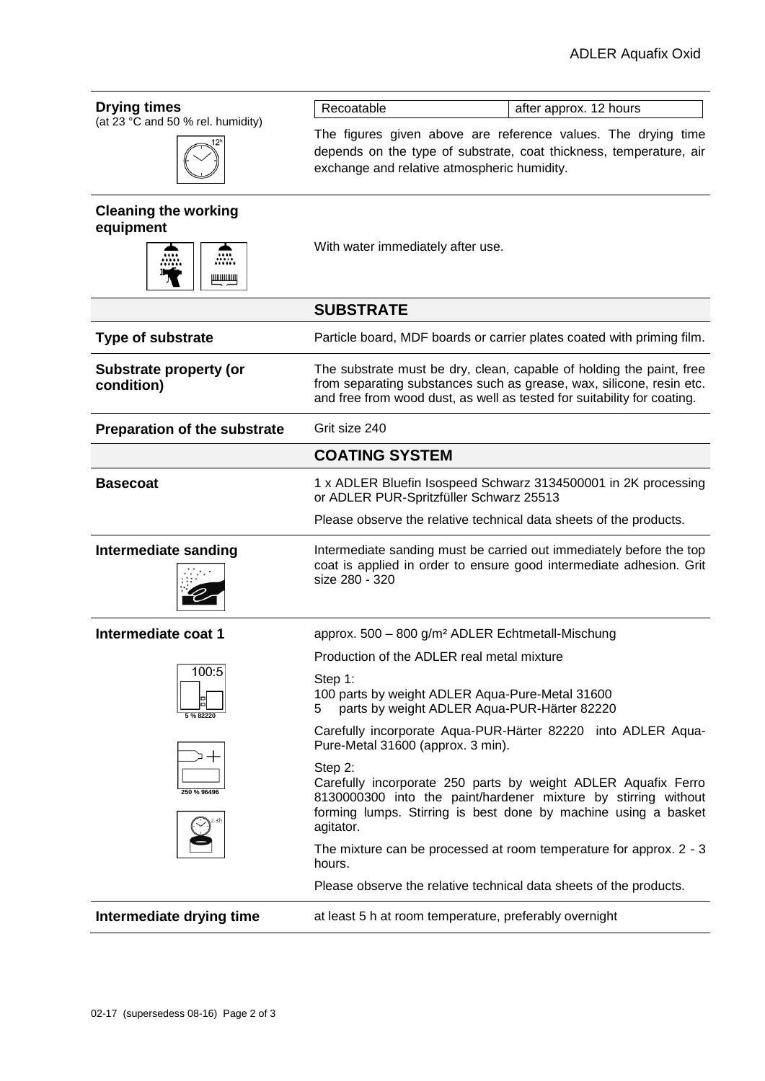| <b>Drying times</b>                         | Recoatable<br>after approx. 12 hours                                                                                                                                                                                      |
|---------------------------------------------|---------------------------------------------------------------------------------------------------------------------------------------------------------------------------------------------------------------------------|
| (at 23 °C and 50 % rel. humidity)           | The figures given above are reference values. The drying time<br>depends on the type of substrate, coat thickness, temperature, air<br>exchange and relative atmospheric humidity.                                        |
| <b>Cleaning the working</b><br>equipment    |                                                                                                                                                                                                                           |
| æ.<br>ШШШЩ                                  | With water immediately after use.                                                                                                                                                                                         |
|                                             | <b>SUBSTRATE</b>                                                                                                                                                                                                          |
| <b>Type of substrate</b>                    | Particle board, MDF boards or carrier plates coated with priming film.                                                                                                                                                    |
| <b>Substrate property (or</b><br>condition) | The substrate must be dry, clean, capable of holding the paint, free<br>from separating substances such as grease, wax, silicone, resin etc.<br>and free from wood dust, as well as tested for suitability for coating.   |
| <b>Preparation of the substrate</b>         | Grit size 240                                                                                                                                                                                                             |
|                                             | <b>COATING SYSTEM</b>                                                                                                                                                                                                     |
| <b>Basecoat</b>                             | 1 x ADLER Bluefin Isospeed Schwarz 3134500001 in 2K processing<br>or ADLER PUR-Spritzfüller Schwarz 25513                                                                                                                 |
|                                             | Please observe the relative technical data sheets of the products.                                                                                                                                                        |
|                                             |                                                                                                                                                                                                                           |
| Intermediate sanding                        | Intermediate sanding must be carried out immediately before the top<br>coat is applied in order to ensure good intermediate adhesion. Grit<br>size 280 - 320                                                              |
| Intermediate coat 1                         | approx. 500 - 800 g/m <sup>2</sup> ADLER Echtmetall-Mischung                                                                                                                                                              |
|                                             | Production of the ADLER real metal mixture                                                                                                                                                                                |
| 100:5                                       | Step 1:<br>100 parts by weight ADLER Aqua-Pure-Metal 31600<br>parts by weight ADLER Aqua-PUR-Härter 82220<br>5                                                                                                            |
| 5 % 82220                                   | Carefully incorporate Aqua-PUR-Härter 82220 into ADLER Aqua-<br>Pure-Metal 31600 (approx. 3 min).                                                                                                                         |
| 250 % 96496                                 | Step 2:<br>Carefully incorporate 250 parts by weight ADLER Aquafix Ferro<br>8130000300 into the paint/hardener mixture by stirring without<br>forming lumps. Stirring is best done by machine using a basket<br>agitator. |
|                                             | The mixture can be processed at room temperature for approx. 2 - 3<br>hours.                                                                                                                                              |
|                                             | Please observe the relative technical data sheets of the products.                                                                                                                                                        |